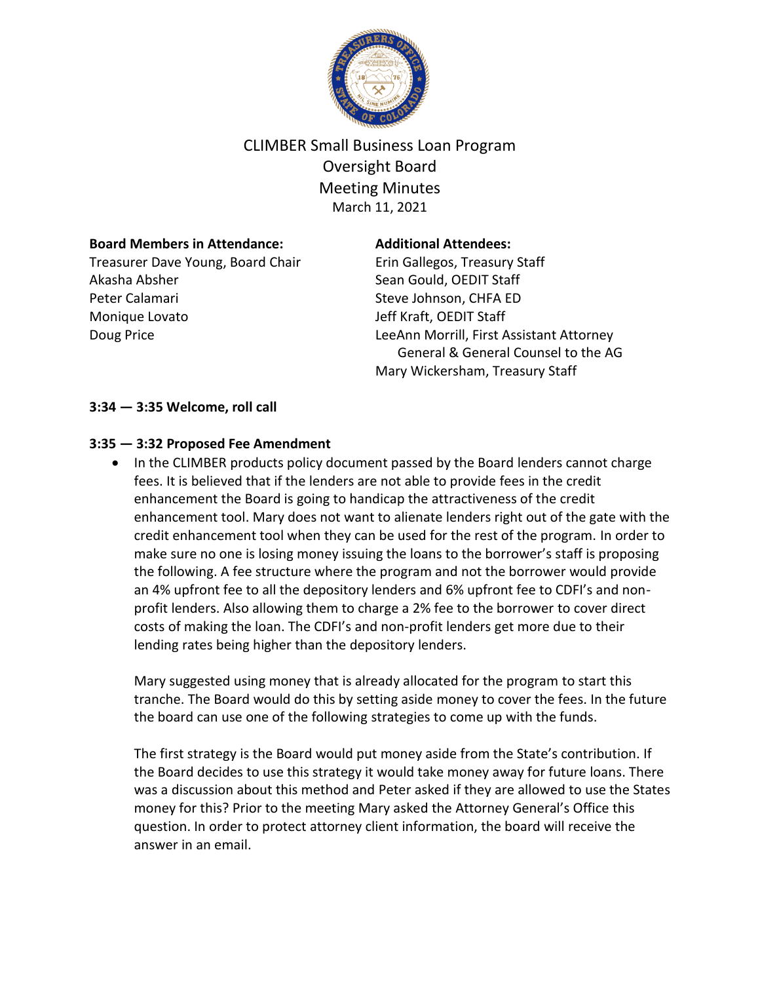

# CLIMBER Small Business Loan Program Oversight Board Meeting Minutes March 11, 2021

#### **Board Members in Attendance:**

Treasurer Dave Young, Board Chair Akasha Absher Peter Calamari Monique Lovato Doug Price

#### **Additional Attendees:**

Erin Gallegos, Treasury Staff Sean Gould, OEDIT Staff Steve Johnson, CHFA ED Jeff Kraft, OEDIT Staff LeeAnn Morrill, First Assistant Attorney General & General Counsel to the AG Mary Wickersham, Treasury Staff

#### **3:34 — 3:35 Welcome, roll call**

### **3:35 — 3:32 Proposed Fee Amendment**

• In the CLIMBER products policy document passed by the Board lenders cannot charge fees. It is believed that if the lenders are not able to provide fees in the credit enhancement the Board is going to handicap the attractiveness of the credit enhancement tool. Mary does not want to alienate lenders right out of the gate with the credit enhancement tool when they can be used for the rest of the program. In order to make sure no one is losing money issuing the loans to the borrower's staff is proposing the following. A fee structure where the program and not the borrower would provide an 4% upfront fee to all the depository lenders and 6% upfront fee to CDFI's and nonprofit lenders. Also allowing them to charge a 2% fee to the borrower to cover direct costs of making the loan. The CDFI's and non-profit lenders get more due to their lending rates being higher than the depository lenders.

Mary suggested using money that is already allocated for the program to start this tranche. The Board would do this by setting aside money to cover the fees. In the future the board can use one of the following strategies to come up with the funds.

The first strategy is the Board would put money aside from the State's contribution. If the Board decides to use this strategy it would take money away for future loans. There was a discussion about this method and Peter asked if they are allowed to use the States money for this? Prior to the meeting Mary asked the Attorney General's Office this question. In order to protect attorney client information, the board will receive the answer in an email.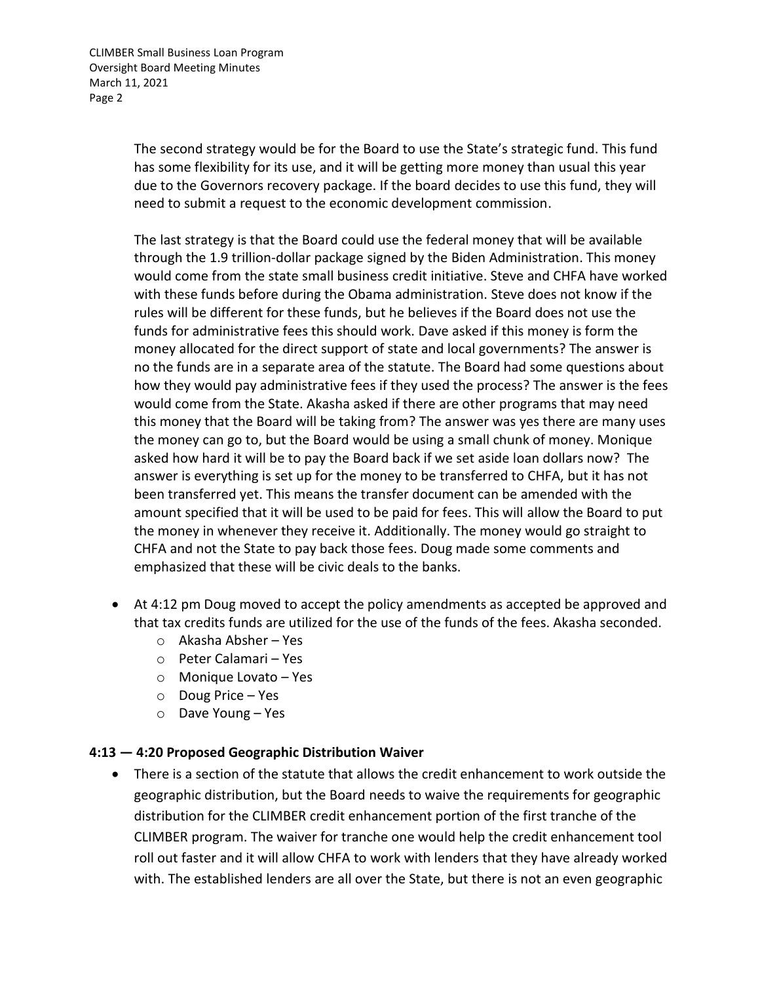CLIMBER Small Business Loan Program Oversight Board Meeting Minutes March 11, 2021 Page 2

> The second strategy would be for the Board to use the State's strategic fund. This fund has some flexibility for its use, and it will be getting more money than usual this year due to the Governors recovery package. If the board decides to use this fund, they will need to submit a request to the economic development commission.

The last strategy is that the Board could use the federal money that will be available through the 1.9 trillion-dollar package signed by the Biden Administration. This money would come from the state small business credit initiative. Steve and CHFA have worked with these funds before during the Obama administration. Steve does not know if the rules will be different for these funds, but he believes if the Board does not use the funds for administrative fees this should work. Dave asked if this money is form the money allocated for the direct support of state and local governments? The answer is no the funds are in a separate area of the statute. The Board had some questions about how they would pay administrative fees if they used the process? The answer is the fees would come from the State. Akasha asked if there are other programs that may need this money that the Board will be taking from? The answer was yes there are many uses the money can go to, but the Board would be using a small chunk of money. Monique asked how hard it will be to pay the Board back if we set aside loan dollars now? The answer is everything is set up for the money to be transferred to CHFA, but it has not been transferred yet. This means the transfer document can be amended with the amount specified that it will be used to be paid for fees. This will allow the Board to put the money in whenever they receive it. Additionally. The money would go straight to CHFA and not the State to pay back those fees. Doug made some comments and emphasized that these will be civic deals to the banks.

- At 4:12 pm Doug moved to accept the policy amendments as accepted be approved and that tax credits funds are utilized for the use of the funds of the fees. Akasha seconded.
	- o Akasha Absher Yes
	- o Peter Calamari Yes
	- o Monique Lovato Yes
	- o Doug Price Yes
	- o Dave Young Yes

#### **4:13 — 4:20 Proposed Geographic Distribution Waiver**

 There is a section of the statute that allows the credit enhancement to work outside the geographic distribution, but the Board needs to waive the requirements for geographic distribution for the CLIMBER credit enhancement portion of the first tranche of the CLIMBER program. The waiver for tranche one would help the credit enhancement tool roll out faster and it will allow CHFA to work with lenders that they have already worked with. The established lenders are all over the State, but there is not an even geographic